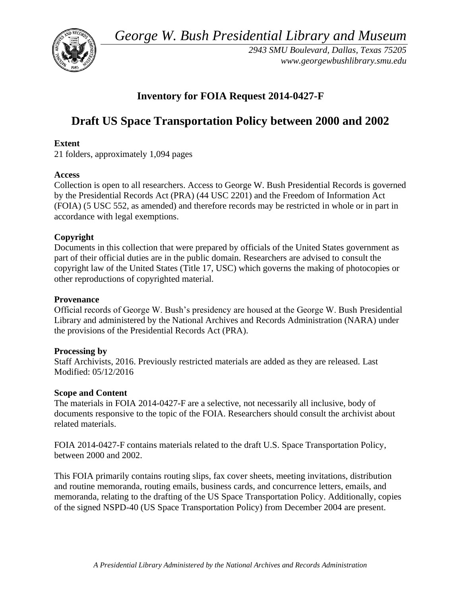*George W. Bush Presidential Library and Museum* 



*2943 SMU Boulevard, Dallas, Texas 75205 <www.georgewbushlibrary.smu.edu>* 

# **Inventory for FOIA Request 2014-0427-F**

# **Draft US Space Transportation Policy between 2000 and 2002**

## **Extent**

21 folders, approximately 1,094 pages

### **Access**

Collection is open to all researchers. Access to George W. Bush Presidential Records is governed by the Presidential Records Act (PRA) (44 USC 2201) and the Freedom of Information Act (FOIA) (5 USC 552, as amended) and therefore records may be restricted in whole or in part in accordance with legal exemptions.

### **Copyright**

 Documents in this collection that were prepared by officials of the United States government as part of their official duties are in the public domain. Researchers are advised to consult the copyright law of the United States (Title 17, USC) which governs the making of photocopies or other reproductions of copyrighted material.

#### **Provenance**

Official records of George W. Bush's presidency are housed at the George W. Bush Presidential Library and administered by the National Archives and Records Administration (NARA) under the provisions of the Presidential Records Act (PRA).

### **Processing by**

Staff Archivists, 2016. Previously restricted materials are added as they are released. Last Modified: 05/12/2016

### **Scope and Content**

 documents responsive to the topic of the FOIA. Researchers should consult the archivist about The materials in FOIA 2014-0427-F are a selective, not necessarily all inclusive, body of related materials.

 FOIA 2014-0427-F contains materials related to the draft U.S. Space Transportation Policy, between 2000 and 2002.

This FOIA primarily contains routing slips, fax cover sheets, meeting invitations, distribution and routine memoranda, routing emails, business cards, and concurrence letters, emails, and memoranda, relating to the drafting of the US Space Transportation Policy. Additionally, copies of the signed NSPD-40 (US Space Transportation Policy) from December 2004 are present.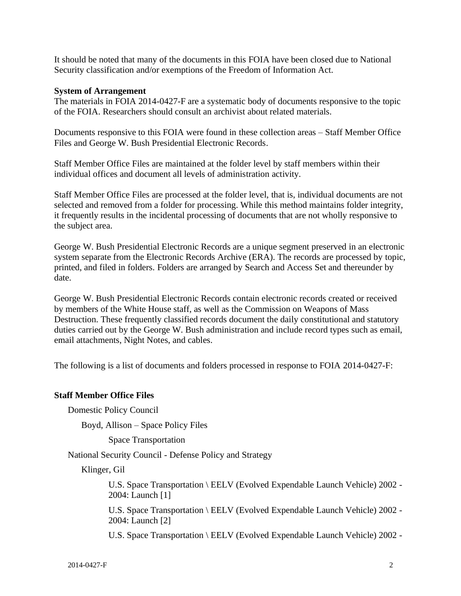It should be noted that many of the documents in this FOIA have been closed due to National Security classification and/or exemptions of the Freedom of Information Act.

#### **System of Arrangement**

 The materials in FOIA 2014-0427-F are a systematic body of documents responsive to the topic of the FOIA. Researchers should consult an archivist about related materials.

Documents responsive to this FOIA were found in these collection areas – Staff Member Office Files and George W. Bush Presidential Electronic Records.

 Staff Member Office Files are maintained at the folder level by staff members within their individual offices and document all levels of administration activity.

Staff Member Office Files are processed at the folder level, that is, individual documents are not selected and removed from a folder for processing. While this method maintains folder integrity, it frequently results in the incidental processing of documents that are not wholly responsive to the subject area.

George W. Bush Presidential Electronic Records are a unique segment preserved in an electronic system separate from the Electronic Records Archive (ERA). The records are processed by topic, printed, and filed in folders. Folders are arranged by Search and Access Set and thereunder by date.

 by members of the White House staff, as well as the Commission on Weapons of Mass George W. Bush Presidential Electronic Records contain electronic records created or received Destruction. These frequently classified records document the daily constitutional and statutory duties carried out by the George W. Bush administration and include record types such as email, email attachments, Night Notes, and cables.

The following is a list of documents and folders processed in response to FOIA 2014-0427-F:

### **Staff Member Office Files**

Domestic Policy Council

Boyd, Allison – Space Policy Files

Space Transportation

National Security Council - Defense Policy and Strategy

Klinger, Gil

U.S. Space Transportation \ EELV (Evolved Expendable Launch Vehicle) 2002 - 2004: Launch [1]

U.S. Space Transportation \ EELV (Evolved Expendable Launch Vehicle) 2002 - 2004: Launch [2]

U.S. Space Transportation \ EELV (Evolved Expendable Launch Vehicle) 2002 -